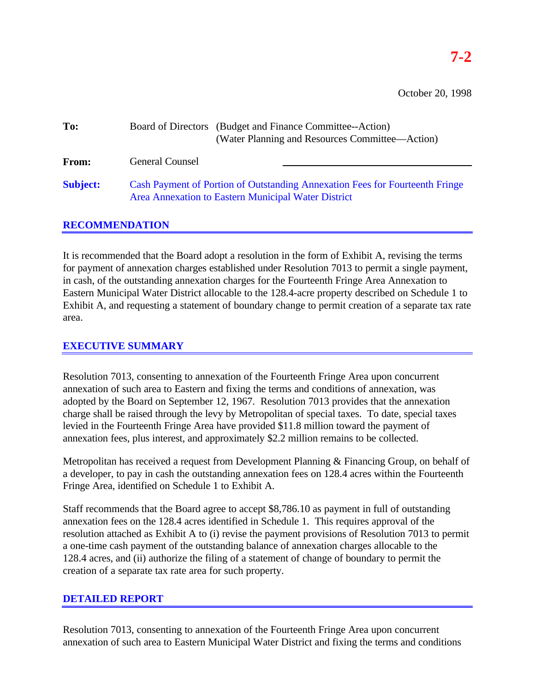October 20, 1998

| To:             | Board of Directors (Budget and Finance Committee--Action) |  | (Water Planning and Resources Committee—Action)                              |  |
|-----------------|-----------------------------------------------------------|--|------------------------------------------------------------------------------|--|
| From:           | <b>General Counsel</b>                                    |  |                                                                              |  |
| <b>Subject:</b> | Area Annexation to Eastern Municipal Water District       |  | Cash Payment of Portion of Outstanding Annexation Fees for Fourteenth Fringe |  |

## **RECOMMENDATION**

It is recommended that the Board adopt a resolution in the form of Exhibit A, revising the terms for payment of annexation charges established under Resolution 7013 to permit a single payment, in cash, of the outstanding annexation charges for the Fourteenth Fringe Area Annexation to Eastern Municipal Water District allocable to the 128.4-acre property described on Schedule 1 to Exhibit A, and requesting a statement of boundary change to permit creation of a separate tax rate area.

# **EXECUTIVE SUMMARY**

Resolution 7013, consenting to annexation of the Fourteenth Fringe Area upon concurrent annexation of such area to Eastern and fixing the terms and conditions of annexation, was adopted by the Board on September 12, 1967. Resolution 7013 provides that the annexation charge shall be raised through the levy by Metropolitan of special taxes. To date, special taxes levied in the Fourteenth Fringe Area have provided \$11.8 million toward the payment of annexation fees, plus interest, and approximately \$2.2 million remains to be collected.

Metropolitan has received a request from Development Planning & Financing Group, on behalf of a developer, to pay in cash the outstanding annexation fees on 128.4 acres within the Fourteenth Fringe Area, identified on Schedule 1 to Exhibit A.

Staff recommends that the Board agree to accept \$8,786.10 as payment in full of outstanding annexation fees on the 128.4 acres identified in Schedule 1. This requires approval of the resolution attached as Exhibit A to (i) revise the payment provisions of Resolution 7013 to permit a one-time cash payment of the outstanding balance of annexation charges allocable to the 128.4 acres, and (ii) authorize the filing of a statement of change of boundary to permit the creation of a separate tax rate area for such property.

## **DETAILED REPORT**

Resolution 7013, consenting to annexation of the Fourteenth Fringe Area upon concurrent annexation of such area to Eastern Municipal Water District and fixing the terms and conditions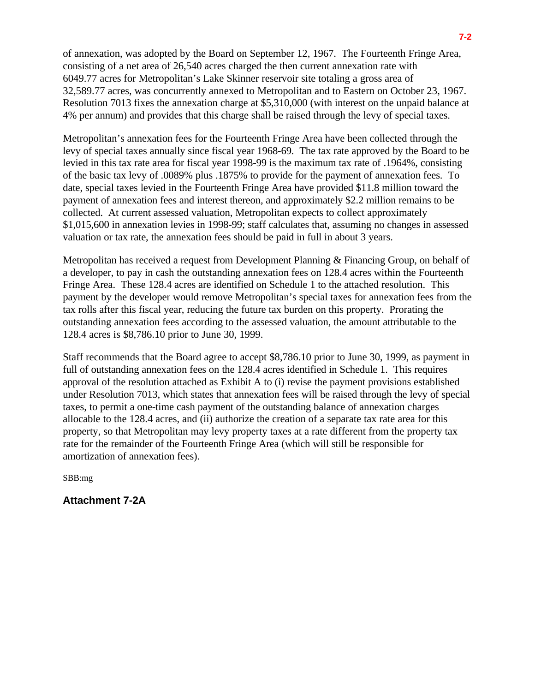of annexation, was adopted by the Board on September 12, 1967. The Fourteenth Fringe Area, consisting of a net area of 26,540 acres charged the then current annexation rate with 6049.77 acres for Metropolitan's Lake Skinner reservoir site totaling a gross area of 32,589.77 acres, was concurrently annexed to Metropolitan and to Eastern on October 23, 1967. Resolution 7013 fixes the annexation charge at \$5,310,000 (with interest on the unpaid balance at 4% per annum) and provides that this charge shall be raised through the levy of special taxes.

Metropolitan's annexation fees for the Fourteenth Fringe Area have been collected through the levy of special taxes annually since fiscal year 1968-69. The tax rate approved by the Board to be levied in this tax rate area for fiscal year 1998-99 is the maximum tax rate of .1964%, consisting of the basic tax levy of .0089% plus .1875% to provide for the payment of annexation fees. To date, special taxes levied in the Fourteenth Fringe Area have provided \$11.8 million toward the payment of annexation fees and interest thereon, and approximately \$2.2 million remains to be collected. At current assessed valuation, Metropolitan expects to collect approximately \$1,015,600 in annexation levies in 1998-99; staff calculates that, assuming no changes in assessed valuation or tax rate, the annexation fees should be paid in full in about 3 years.

Metropolitan has received a request from Development Planning & Financing Group, on behalf of a developer, to pay in cash the outstanding annexation fees on 128.4 acres within the Fourteenth Fringe Area. These 128.4 acres are identified on Schedule 1 to the attached resolution. This payment by the developer would remove Metropolitan's special taxes for annexation fees from the tax rolls after this fiscal year, reducing the future tax burden on this property. Prorating the outstanding annexation fees according to the assessed valuation, the amount attributable to the 128.4 acres is \$8,786.10 prior to June 30, 1999.

Staff recommends that the Board agree to accept \$8,786.10 prior to June 30, 1999, as payment in full of outstanding annexation fees on the 128.4 acres identified in Schedule 1. This requires approval of the resolution attached as Exhibit A to (i) revise the payment provisions established under Resolution 7013, which states that annexation fees will be raised through the levy of special taxes, to permit a one-time cash payment of the outstanding balance of annexation charges allocable to the 128.4 acres, and (ii) authorize the creation of a separate tax rate area for this property, so that Metropolitan may levy property taxes at a rate different from the property tax rate for the remainder of the Fourteenth Fringe Area (which will still be responsible for amortization of annexation fees).

SBB:mg

**Attachment 7-2A**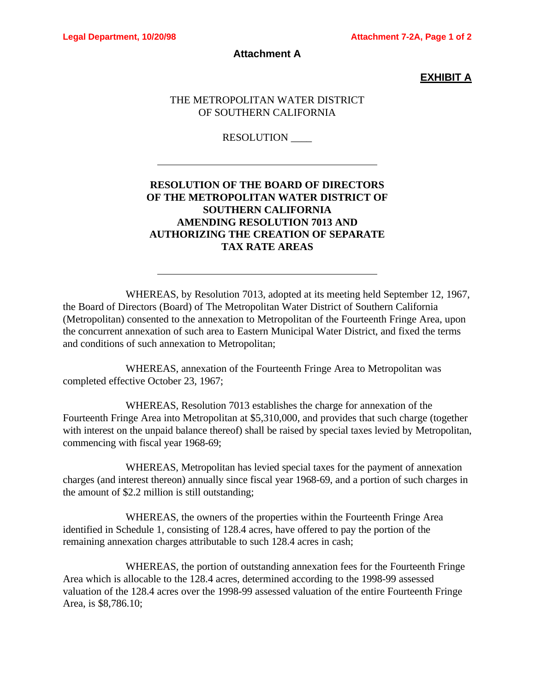$\overline{a}$ 

 $\overline{a}$ 

#### **Attachment A**

## **EXHIBIT A**

#### THE METROPOLITAN WATER DISTRICT OF SOUTHERN CALIFORNIA

#### RESOLUTION \_\_\_\_

# **RESOLUTION OF THE BOARD OF DIRECTORS OF THE METROPOLITAN WATER DISTRICT OF SOUTHERN CALIFORNIA AMENDING RESOLUTION 7013 AND AUTHORIZING THE CREATION OF SEPARATE TAX RATE AREAS**

WHEREAS, by Resolution 7013, adopted at its meeting held September 12, 1967, the Board of Directors (Board) of The Metropolitan Water District of Southern California (Metropolitan) consented to the annexation to Metropolitan of the Fourteenth Fringe Area, upon the concurrent annexation of such area to Eastern Municipal Water District, and fixed the terms and conditions of such annexation to Metropolitan;

WHEREAS, annexation of the Fourteenth Fringe Area to Metropolitan was completed effective October 23, 1967;

WHEREAS, Resolution 7013 establishes the charge for annexation of the Fourteenth Fringe Area into Metropolitan at \$5,310,000, and provides that such charge (together with interest on the unpaid balance thereof) shall be raised by special taxes levied by Metropolitan, commencing with fiscal year 1968-69;

WHEREAS, Metropolitan has levied special taxes for the payment of annexation charges (and interest thereon) annually since fiscal year 1968-69, and a portion of such charges in the amount of \$2.2 million is still outstanding;

WHEREAS, the owners of the properties within the Fourteenth Fringe Area identified in Schedule 1, consisting of 128.4 acres, have offered to pay the portion of the remaining annexation charges attributable to such 128.4 acres in cash;

WHEREAS, the portion of outstanding annexation fees for the Fourteenth Fringe Area which is allocable to the 128.4 acres, determined according to the 1998-99 assessed valuation of the 128.4 acres over the 1998-99 assessed valuation of the entire Fourteenth Fringe Area, is \$8,786.10;